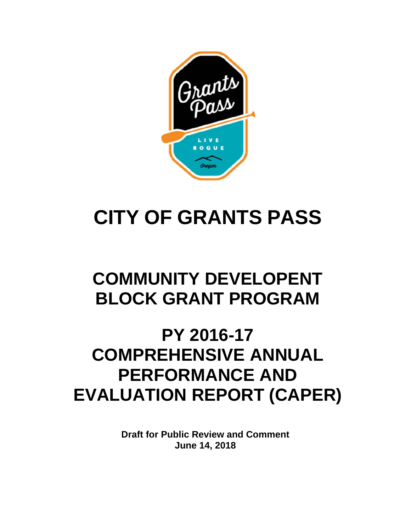

# **CITY OF GRANTS PASS**

## **COMMUNITY DEVELOPENT BLOCK GRANT PROGRAM**

## **PY 2016-17 COMPREHENSIVE ANNUAL PERFORMANCE AND EVALUATION REPORT (CAPER)**

**Draft for Public Review and Comment June 14, 2018**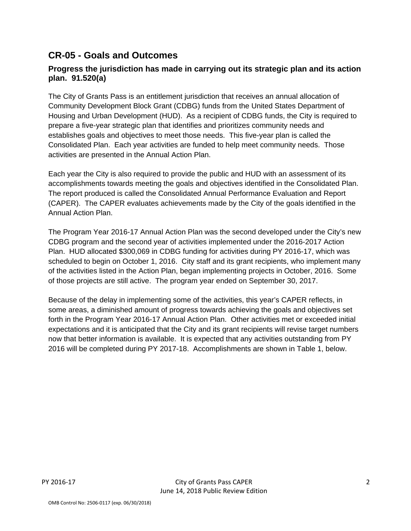## **CR-05 - Goals and Outcomes**

### **Progress the jurisdiction has made in carrying out its strategic plan and its action plan. 91.520(a)**

The City of Grants Pass is an entitlement jurisdiction that receives an annual allocation of Community Development Block Grant (CDBG) funds from the United States Department of Housing and Urban Development (HUD). As a recipient of CDBG funds, the City is required to prepare a five-year strategic plan that identifies and prioritizes community needs and establishes goals and objectives to meet those needs. This five-year plan is called the Consolidated Plan. Each year activities are funded to help meet community needs. Those activities are presented in the Annual Action Plan.

Each year the City is also required to provide the public and HUD with an assessment of its accomplishments towards meeting the goals and objectives identified in the Consolidated Plan. The report produced is called the Consolidated Annual Performance Evaluation and Report (CAPER). The CAPER evaluates achievements made by the City of the goals identified in the Annual Action Plan.

The Program Year 2016-17 Annual Action Plan was the second developed under the City's new CDBG program and the second year of activities implemented under the 2016-2017 Action Plan. HUD allocated \$300,069 in CDBG funding for activities during PY 2016-17, which was scheduled to begin on October 1, 2016. City staff and its grant recipients, who implement many of the activities listed in the Action Plan, began implementing projects in October, 2016. Some of those projects are still active. The program year ended on September 30, 2017.

Because of the delay in implementing some of the activities, this year's CAPER reflects, in some areas, a diminished amount of progress towards achieving the goals and objectives set forth in the Program Year 2016-17 Annual Action Plan. Other activities met or exceeded initial expectations and it is anticipated that the City and its grant recipients will revise target numbers now that better information is available. It is expected that any activities outstanding from PY 2016 will be completed during PY 2017-18. Accomplishments are shown in Table 1, below.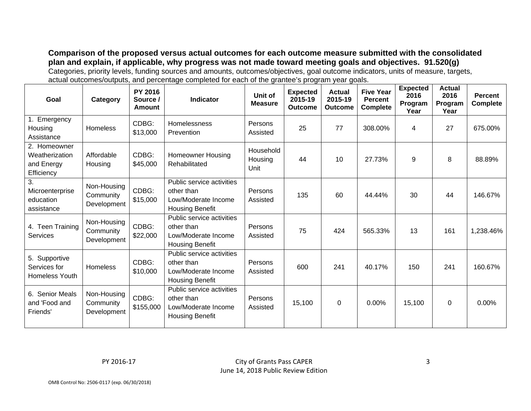**Comparison of the proposed versus actual outcomes for each outcome measure submitted with the consolidated plan and explain, if applicable, why progress was not made toward meeting goals and objectives. 91.520(g)**  Categories, priority levels, funding sources and amounts, outcomes/objectives, goal outcome indicators, units of measure, targets, actual outcomes/outputs, and percentage completed for each of the grantee's program year goals.

| Goal                                                           | Category                                | PY 2016<br>Source /<br>Amount | <b>Indicator</b>                                                                         | Unit of<br><b>Measure</b>    | <b>Expected</b><br>2015-19<br><b>Outcome</b> | <b>Actual</b><br>2015-19<br><b>Outcome</b> | <b>Five Year</b><br><b>Percent</b><br><b>Complete</b> | <b>Expected</b><br>2016<br>Program<br>Year | <b>Actual</b><br>2016<br>Program<br>Year | <b>Percent</b><br><b>Complete</b> |
|----------------------------------------------------------------|-----------------------------------------|-------------------------------|------------------------------------------------------------------------------------------|------------------------------|----------------------------------------------|--------------------------------------------|-------------------------------------------------------|--------------------------------------------|------------------------------------------|-----------------------------------|
| 1. Emergency<br>Housing<br>Assistance                          | <b>Homeless</b>                         | CDBG:<br>\$13,000             | Homelessness<br>Prevention                                                               | Persons<br>Assisted          | 25                                           | 77                                         | 308.00%                                               | 4                                          | 27                                       | 675.00%                           |
| 2. Homeowner<br>Weatherization<br>and Energy<br>Efficiency     | Affordable<br>Housing                   | CDBG:<br>\$45,000             | <b>Homeowner Housing</b><br>Rehabilitated                                                | Household<br>Housing<br>Unit | 44                                           | 10                                         | 27.73%                                                | 9                                          | 8                                        | 88.89%                            |
| $\overline{3}$ .<br>Microenterprise<br>education<br>assistance | Non-Housing<br>Community<br>Development | CDBG:<br>\$15,000             | Public service activities<br>other than<br>Low/Moderate Income<br><b>Housing Benefit</b> | Persons<br>Assisted          | 135                                          | 60                                         | 44.44%                                                | 30                                         | 44                                       | 146.67%                           |
| 4. Teen Training<br>Services                                   | Non-Housing<br>Community<br>Development | CDBG:<br>\$22,000             | Public service activities<br>other than<br>Low/Moderate Income<br><b>Housing Benefit</b> | Persons<br>Assisted          | 75                                           | 424                                        | 565.33%                                               | 13                                         | 161                                      | 1,238.46%                         |
| 5. Supportive<br>Services for<br>Homeless Youth                | <b>Homeless</b>                         | CDBG:<br>\$10,000             | Public service activities<br>other than<br>Low/Moderate Income<br><b>Housing Benefit</b> | Persons<br>Assisted          | 600                                          | 241                                        | 40.17%                                                | 150                                        | 241                                      | 160.67%                           |
| 6. Senior Meals<br>and 'Food and<br>Friends'                   | Non-Housing<br>Community<br>Development | CDBG:<br>\$155,000            | Public service activities<br>other than<br>Low/Moderate Income<br><b>Housing Benefit</b> | Persons<br>Assisted          | 15,100                                       | $\mathbf 0$                                | 0.00%                                                 | 15,100                                     | $\Omega$                                 | $0.00\%$                          |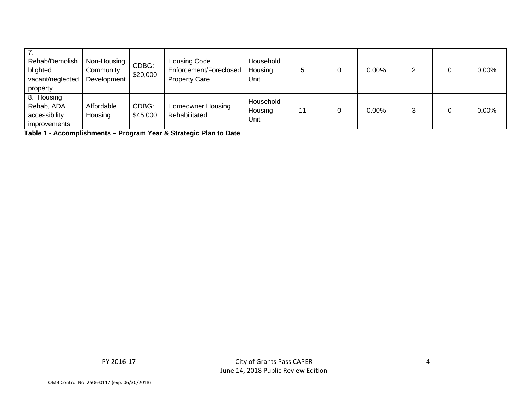| Rehab/Demolish<br>blighted<br>vacant/neglected<br>property | Non-Housing<br>Community<br>Development | CDBG:<br>\$20,000 | <b>Housing Code</b><br>Enforcement/Foreclosed<br><b>Property Care</b> | Household<br>Housing<br>Unit |    | $0.00\%$ |  | $0.00\%$ |
|------------------------------------------------------------|-----------------------------------------|-------------------|-----------------------------------------------------------------------|------------------------------|----|----------|--|----------|
| 8. Housing<br>Rehab, ADA<br>accessibility<br>improvements  | Affordable<br>Housing                   | CDBG:<br>\$45,000 | Homeowner Housing<br>Rehabilitated                                    | Household<br>Housing<br>Unit | 11 | $0.00\%$ |  | $0.00\%$ |

**Table 1 - Accomplishments – Program Year & Strategic Plan to Date** 

PY 2016‐17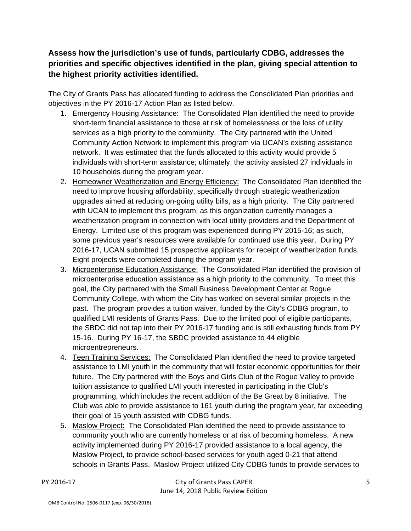**Assess how the jurisdiction's use of funds, particularly CDBG, addresses the priorities and specific objectives identified in the plan, giving special attention to the highest priority activities identified.** 

The City of Grants Pass has allocated funding to address the Consolidated Plan priorities and objectives in the PY 2016-17 Action Plan as listed below.

- 1. Emergency Housing Assistance: The Consolidated Plan identified the need to provide short-term financial assistance to those at risk of homelessness or the loss of utility services as a high priority to the community. The City partnered with the United Community Action Network to implement this program via UCAN's existing assistance network. It was estimated that the funds allocated to this activity would provide 5 individuals with short-term assistance; ultimately, the activity assisted 27 individuals in 10 households during the program year.
- 2. Homeowner Weatherization and Energy Efficiency: The Consolidated Plan identified the need to improve housing affordability, specifically through strategic weatherization upgrades aimed at reducing on-going utility bills, as a high priority. The City partnered with UCAN to implement this program, as this organization currently manages a weatherization program in connection with local utility providers and the Department of Energy. Limited use of this program was experienced during PY 2015-16; as such, some previous year's resources were available for continued use this year. During PY 2016-17, UCAN submitted 15 prospective applicants for receipt of weatherization funds. Eight projects were completed during the program year.
- 3. Microenterprise Education Assistance: The Consolidated Plan identified the provision of microenterprise education assistance as a high priority to the community. To meet this goal, the City partnered with the Small Business Development Center at Rogue Community College, with whom the City has worked on several similar projects in the past. The program provides a tuition waiver, funded by the City's CDBG program, to qualified LMI residents of Grants Pass. Due to the limited pool of eligible participants, the SBDC did not tap into their PY 2016-17 funding and is still exhausting funds from PY 15-16. During PY 16-17, the SBDC provided assistance to 44 eligible microentrepreneurs.
- 4. Teen Training Services: The Consolidated Plan identified the need to provide targeted assistance to LMI youth in the community that will foster economic opportunities for their future. The City partnered with the Boys and Girls Club of the Rogue Valley to provide tuition assistance to qualified LMI youth interested in participating in the Club's programming, which includes the recent addition of the Be Great by 8 initiative. The Club was able to provide assistance to 161 youth during the program year, far exceeding their goal of 15 youth assisted with CDBG funds.
- 5. Maslow Project: The Consolidated Plan identified the need to provide assistance to community youth who are currently homeless or at risk of becoming homeless. A new activity implemented during PY 2016-17 provided assistance to a local agency, the Maslow Project, to provide school-based services for youth aged 0-21 that attend schools in Grants Pass. Maslow Project utilized City CDBG funds to provide services to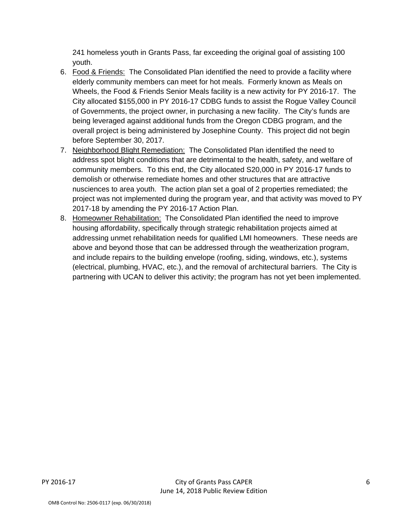241 homeless youth in Grants Pass, far exceeding the original goal of assisting 100 youth.

- 6. Food & Friends: The Consolidated Plan identified the need to provide a facility where elderly community members can meet for hot meals. Formerly known as Meals on Wheels, the Food & Friends Senior Meals facility is a new activity for PY 2016-17. The City allocated \$155,000 in PY 2016-17 CDBG funds to assist the Rogue Valley Council of Governments, the project owner, in purchasing a new facility. The City's funds are being leveraged against additional funds from the Oregon CDBG program, and the overall project is being administered by Josephine County. This project did not begin before September 30, 2017.
- 7. Neighborhood Blight Remediation: The Consolidated Plan identified the need to address spot blight conditions that are detrimental to the health, safety, and welfare of community members. To this end, the City allocated S20,000 in PY 2016-17 funds to demolish or otherwise remediate homes and other structures that are attractive nusciences to area youth. The action plan set a goal of 2 properties remediated; the project was not implemented during the program year, and that activity was moved to PY 2017-18 by amending the PY 2016-17 Action Plan.
- 8. Homeowner Rehabilitation: The Consolidated Plan identified the need to improve housing affordability, specifically through strategic rehabilitation projects aimed at addressing unmet rehabilitation needs for qualified LMI homeowners. These needs are above and beyond those that can be addressed through the weatherization program, and include repairs to the building envelope (roofing, siding, windows, etc.), systems (electrical, plumbing, HVAC, etc.), and the removal of architectural barriers. The City is partnering with UCAN to deliver this activity; the program has not yet been implemented.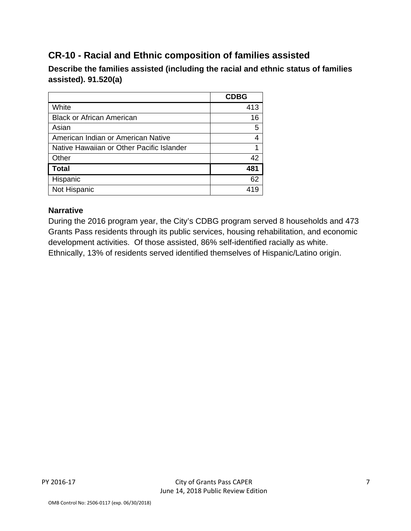## **CR-10 - Racial and Ethnic composition of families assisted**

**Describe the families assisted (including the racial and ethnic status of families assisted). 91.520(a)** 

|                                           | <b>CDBG</b> |
|-------------------------------------------|-------------|
| White                                     | 413         |
| <b>Black or African American</b>          | 16          |
| Asian                                     | 5           |
| American Indian or American Native        |             |
| Native Hawaiian or Other Pacific Islander |             |
| Other                                     | 42          |
| <b>Total</b>                              | 481         |
| Hispanic                                  | 62          |
| Not Hispanic                              |             |

## **Narrative**

During the 2016 program year, the City's CDBG program served 8 households and 473 Grants Pass residents through its public services, housing rehabilitation, and economic development activities. Of those assisted, 86% self-identified racially as white. Ethnically, 13% of residents served identified themselves of Hispanic/Latino origin.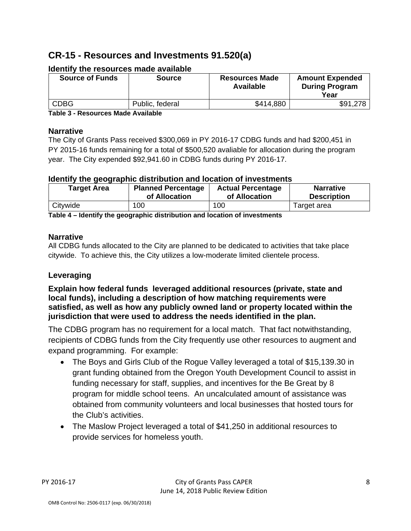## **CR-15 - Resources and Investments 91.520(a)**

| <b>Source of Funds</b> | <b>Source</b>   | <b>Resources Made</b><br>Available | <b>Amount Expended</b><br><b>During Program</b><br>Year |
|------------------------|-----------------|------------------------------------|---------------------------------------------------------|
| <b>CDBG</b>            | Public, federal | \$414,880                          | \$91,278                                                |

#### **Identify the resources made available**

**Table 3 - Resources Made Available** 

#### **Narrative**

The City of Grants Pass received \$300,069 in PY 2016-17 CDBG funds and had \$200,451 in PY 2015-16 funds remaining for a total of \$500,520 avaliable for allocation during the program year. The City expended \$92,941.60 in CDBG funds during PY 2016-17.

### **Identify the geographic distribution and location of investments**

| <b>Target Area</b> | <b>Planned Percentage</b> | <b>Actual Percentage</b> | <b>Narrative</b>   |
|--------------------|---------------------------|--------------------------|--------------------|
|                    | of Allocation             | of Allocation            | <b>Description</b> |
| Citywide           | 100                       | 100                      | Target area        |

**Table 4 – Identify the geographic distribution and location of investments** 

### **Narrative**

All CDBG funds allocated to the City are planned to be dedicated to activities that take place citywide. To achieve this, the City utilizes a low-moderate limited clientele process.

## **Leveraging**

**Explain how federal funds leveraged additional resources (private, state and local funds), including a description of how matching requirements were satisfied, as well as how any publicly owned land or property located within the jurisdiction that were used to address the needs identified in the plan.** 

The CDBG program has no requirement for a local match. That fact notwithstanding, recipients of CDBG funds from the City frequently use other resources to augment and expand programming. For example:

- The Boys and Girls Club of the Rogue Valley leveraged a total of \$15,139.30 in grant funding obtained from the Oregon Youth Development Council to assist in funding necessary for staff, supplies, and incentives for the Be Great by 8 program for middle school teens. An uncalculated amount of assistance was obtained from community volunteers and local businesses that hosted tours for the Club's activities.
- The Maslow Project leveraged a total of \$41,250 in additional resources to provide services for homeless youth.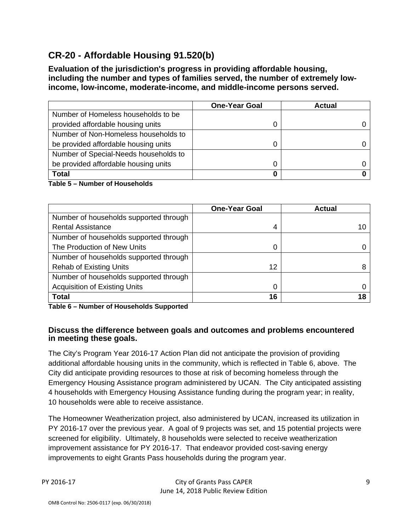## **CR-20 - Affordable Housing 91.520(b)**

**Evaluation of the jurisdiction's progress in providing affordable housing, including the number and types of families served, the number of extremely lowincome, low-income, moderate-income, and middle-income persons served.** 

|                                       | <b>One-Year Goal</b> | <b>Actual</b> |
|---------------------------------------|----------------------|---------------|
| Number of Homeless households to be   |                      |               |
| provided affordable housing units     |                      |               |
| Number of Non-Homeless households to  |                      |               |
| be provided affordable housing units  |                      |               |
| Number of Special-Needs households to |                      |               |
| be provided affordable housing units  |                      |               |
| <b>Total</b>                          |                      |               |

#### **Table 5 – Number of Households**

|                                        | <b>One-Year Goal</b> | <b>Actual</b> |
|----------------------------------------|----------------------|---------------|
| Number of households supported through |                      |               |
| <b>Rental Assistance</b>               | 4                    | 10            |
| Number of households supported through |                      |               |
| The Production of New Units            | 0                    |               |
| Number of households supported through |                      |               |
| <b>Rehab of Existing Units</b>         | 12                   | 8             |
| Number of households supported through |                      |               |
| <b>Acquisition of Existing Units</b>   | 0                    |               |
| <b>Total</b>                           | 16                   | 18            |

**Table 6 – Number of Households Supported** 

#### **Discuss the difference between goals and outcomes and problems encountered in meeting these goals.**

The City's Program Year 2016-17 Action Plan did not anticipate the provision of providing additional affordable housing units in the community, which is reflected in Table 6, above. The City did anticipate providing resources to those at risk of becoming homeless through the Emergency Housing Assistance program administered by UCAN. The City anticipated assisting 4 households with Emergency Housing Assistance funding during the program year; in reality, 10 households were able to receive assistance.

The Homeowner Weatherization project, also administered by UCAN, increased its utilization in PY 2016-17 over the previous year. A goal of 9 projects was set, and 15 potential projects were screened for eligibility. Ultimately, 8 households were selected to receive weatherization improvement assistance for PY 2016-17. That endeavor provided cost-saving energy improvements to eight Grants Pass households during the program year.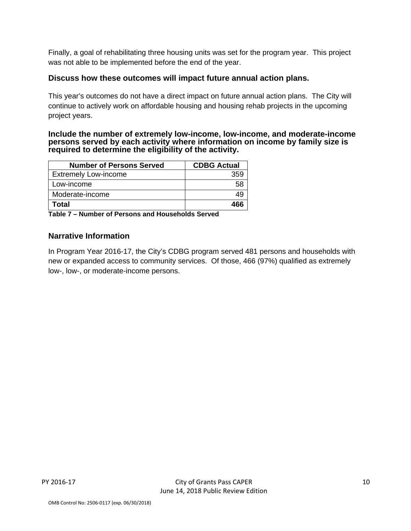Finally, a goal of rehabilitating three housing units was set for the program year. This project was not able to be implemented before the end of the year.

#### **Discuss how these outcomes will impact future annual action plans.**

This year's outcomes do not have a direct impact on future annual action plans. The City will continue to actively work on affordable housing and housing rehab projects in the upcoming project years.

#### **Include the number of extremely low-income, low-income, and moderate-income persons served by each activity where information on income by family size is required to determine the eligibility of the activity.**

| <b>Number of Persons Served</b> | <b>CDBG Actual</b> |
|---------------------------------|--------------------|
| <b>Extremely Low-income</b>     | 359                |
| Low-income                      |                    |
| Moderate-income                 |                    |
| Total                           | 466                |

**Table 7 – Number of Persons and Households Served** 

#### **Narrative Information**

In Program Year 2016-17, the City's CDBG program served 481 persons and households with new or expanded access to community services. Of those, 466 (97%) qualified as extremely low-, low-, or moderate-income persons.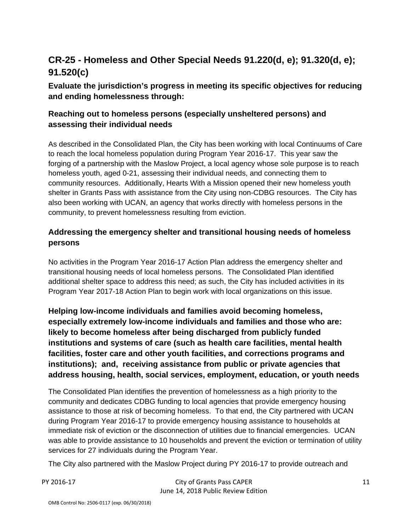## **CR-25 - Homeless and Other Special Needs 91.220(d, e); 91.320(d, e); 91.520(c)**

## **Evaluate the jurisdiction's progress in meeting its specific objectives for reducing and ending homelessness through:**

## **Reaching out to homeless persons (especially unsheltered persons) and assessing their individual needs**

As described in the Consolidated Plan, the City has been working with local Continuums of Care to reach the local homeless population during Program Year 2016-17. This year saw the forging of a partnership with the Maslow Project, a local agency whose sole purpose is to reach homeless youth, aged 0-21, assessing their individual needs, and connecting them to community resources. Additionally, Hearts With a Mission opened their new homeless youth shelter in Grants Pass with assistance from the City using non-CDBG resources. The City has also been working with UCAN, an agency that works directly with homeless persons in the community, to prevent homelessness resulting from eviction.

## **Addressing the emergency shelter and transitional housing needs of homeless persons**

No activities in the Program Year 2016-17 Action Plan address the emergency shelter and transitional housing needs of local homeless persons. The Consolidated Plan identified additional shelter space to address this need; as such, the City has included activities in its Program Year 2017-18 Action Plan to begin work with local organizations on this issue.

**Helping low-income individuals and families avoid becoming homeless, especially extremely low-income individuals and families and those who are: likely to become homeless after being discharged from publicly funded institutions and systems of care (such as health care facilities, mental health facilities, foster care and other youth facilities, and corrections programs and institutions); and, receiving assistance from public or private agencies that address housing, health, social services, employment, education, or youth needs** 

The Consolidated Plan identifies the prevention of homelessness as a high priority to the community and dedicates CDBG funding to local agencies that provide emergency housing assistance to those at risk of becoming homeless. To that end, the City partnered with UCAN during Program Year 2016-17 to provide emergency housing assistance to households at immediate risk of eviction or the disconnection of utilities due to financial emergencies. UCAN was able to provide assistance to 10 households and prevent the eviction or termination of utility services for 27 individuals during the Program Year.

The City also partnered with the Maslow Project during PY 2016-17 to provide outreach and

PY 2016-17 City of Grants Pass CAPER June 14, 2018 Public Review Edition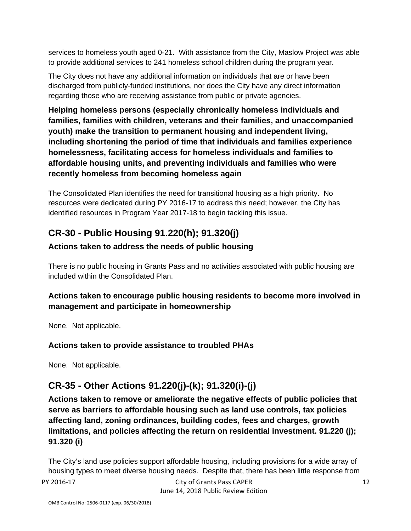services to homeless youth aged 0-21. With assistance from the City, Maslow Project was able to provide additional services to 241 homeless school children during the program year.

The City does not have any additional information on individuals that are or have been discharged from publicly-funded institutions, nor does the City have any direct information regarding those who are receiving assistance from public or private agencies.

**Helping homeless persons (especially chronically homeless individuals and families, families with children, veterans and their families, and unaccompanied youth) make the transition to permanent housing and independent living, including shortening the period of time that individuals and families experience homelessness, facilitating access for homeless individuals and families to affordable housing units, and preventing individuals and families who were recently homeless from becoming homeless again** 

The Consolidated Plan identifies the need for transitional housing as a high priority. No resources were dedicated during PY 2016-17 to address this need; however, the City has identified resources in Program Year 2017-18 to begin tackling this issue.

## **CR-30 - Public Housing 91.220(h); 91.320(j)**

## **Actions taken to address the needs of public housing**

There is no public housing in Grants Pass and no activities associated with public housing are included within the Consolidated Plan.

## **Actions taken to encourage public housing residents to become more involved in management and participate in homeownership**

None. Not applicable.

## **Actions taken to provide assistance to troubled PHAs**

None. Not applicable.

## **CR-35 - Other Actions 91.220(j)-(k); 91.320(i)-(j)**

**Actions taken to remove or ameliorate the negative effects of public policies that serve as barriers to affordable housing such as land use controls, tax policies affecting land, zoning ordinances, building codes, fees and charges, growth limitations, and policies affecting the return on residential investment. 91.220 (j); 91.320 (i)** 

PY 2016-17 City of Grants Pass CAPER The City's land use policies support affordable housing, including provisions for a wide array of housing types to meet diverse housing needs. Despite that, there has been little response from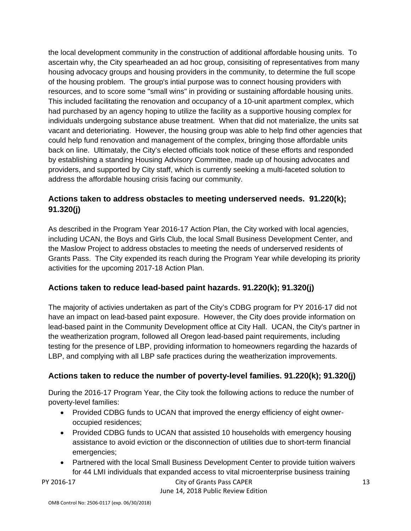the local development community in the construction of additional affordable housing units. To ascertain why, the City spearheaded an ad hoc group, consisiting of representatives from many housing advocacy groups and housing providers in the community, to determine the full scope of the housing problem. The group's intial purpose was to connect housing providers with resources, and to score some "small wins" in providing or sustaining affordable housing units. This included facilitating the renovation and occupancy of a 10-unit apartment complex, which had purchased by an agency hoping to utilize the facility as a supportive housing complex for individuals undergoing substance abuse treatment. When that did not materialize, the units sat vacant and deterioriating. However, the housing group was able to help find other agencies that could help fund renovation and management of the complex, bringing those affordable units back on line. Ultimataly, the City's elected officials took notice of these efforts and responded by establishing a standing Housing Advisory Committee, made up of housing advocates and providers, and supported by City staff, which is currently seeking a multi-faceted solution to address the affordable housing crisis facing our community.

## **Actions taken to address obstacles to meeting underserved needs. 91.220(k); 91.320(j)**

As described in the Program Year 2016-17 Action Plan, the City worked with local agencies, including UCAN, the Boys and Girls Club, the local Small Business Development Center, and the Maslow Project to address obstacles to meeting the needs of underserved residents of Grants Pass. The City expended its reach during the Program Year while developing its priority activities for the upcoming 2017-18 Action Plan.

## **Actions taken to reduce lead-based paint hazards. 91.220(k); 91.320(j)**

The majority of activies undertaken as part of the City's CDBG program for PY 2016-17 did not have an impact on lead-based paint exposure. However, the City does provide information on lead-based paint in the Community Development office at City Hall. UCAN, the City's partner in the weatherization program, followed all Oregon lead-based paint requirements, including testing for the presence of LBP, providing information to homeowners regarding the hazards of LBP, and complying with all LBP safe practices during the weatherization improvements.

## **Actions taken to reduce the number of poverty-level families. 91.220(k); 91.320(j)**

During the 2016-17 Program Year, the City took the following actions to reduce the number of poverty-level families:

- Provided CDBG funds to UCAN that improved the energy efficiency of eight owneroccupied residences;
- Provided CDBG funds to UCAN that assisted 10 households with emergency housing assistance to avoid eviction or the disconnection of utilities due to short-term financial emergencies;
- Partnered with the local Small Business Development Center to provide tuition waivers for 44 LMI individuals that expanded access to vital microenterprise business training

### PY 2016-17 City of Grants Pass CAPER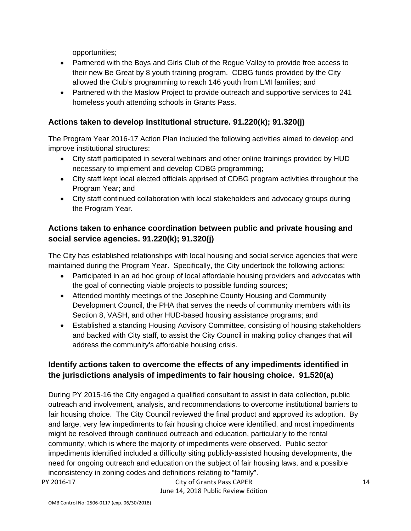opportunities;

- Partnered with the Boys and Girls Club of the Rogue Valley to provide free access to their new Be Great by 8 youth training program. CDBG funds provided by the City allowed the Club's programming to reach 146 youth from LMI families; and
- Partnered with the Maslow Project to provide outreach and supportive services to 241 homeless youth attending schools in Grants Pass.

## **Actions taken to develop institutional structure. 91.220(k); 91.320(j)**

The Program Year 2016-17 Action Plan included the following activities aimed to develop and improve institutional structures:

- City staff participated in several webinars and other online trainings provided by HUD necessary to implement and develop CDBG programming;
- City staff kept local elected officials apprised of CDBG program activities throughout the Program Year; and
- City staff continued collaboration with local stakeholders and advocacy groups during the Program Year.

## **Actions taken to enhance coordination between public and private housing and social service agencies. 91.220(k); 91.320(j)**

The City has established relationships with local housing and social service agencies that were maintained during the Program Year. Specifically, the City undertook the following actions:

- Participated in an ad hoc group of local affordable housing providers and advocates with the goal of connecting viable projects to possible funding sources;
- Attended monthly meetings of the Josephine County Housing and Community Development Council, the PHA that serves the needs of community members with its Section 8, VASH, and other HUD-based housing assistance programs; and
- Established a standing Housing Advisory Committee, consisting of housing stakeholders and backed with City staff, to assist the City Council in making policy changes that will address the community's affordable housing crisis.

## **Identify actions taken to overcome the effects of any impediments identified in the jurisdictions analysis of impediments to fair housing choice. 91.520(a)**

During PY 2015-16 the City engaged a qualified consultant to assist in data collection, public outreach and involvement, analysis, and recommendations to overcome institutional barriers to fair housing choice. The City Council reviewed the final product and approved its adoption. By and large, very few impediments to fair housing choice were identified, and most impediments might be resolved through continued outreach and education, particularly to the rental community, which is where the majority of impediments were observed. Public sector impediments identified included a difficulty siting publicly-assisted housing developments, the need for ongoing outreach and education on the subject of fair housing laws, and a possible inconsistency in zoning codes and definitions relating to "family".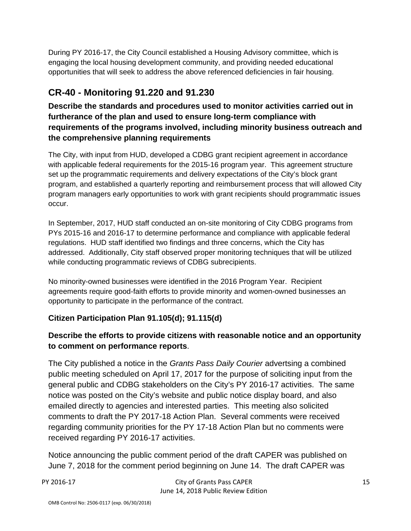During PY 2016-17, the City Council established a Housing Advisory committee, which is engaging the local housing development community, and providing needed educational opportunities that will seek to address the above referenced deficiencies in fair housing.

## **CR-40 - Monitoring 91.220 and 91.230**

**Describe the standards and procedures used to monitor activities carried out in furtherance of the plan and used to ensure long-term compliance with requirements of the programs involved, including minority business outreach and the comprehensive planning requirements** 

The City, with input from HUD, developed a CDBG grant recipient agreement in accordance with applicable federal requirements for the 2015-16 program year. This agreement structure set up the programmatic requirements and delivery expectations of the City's block grant program, and established a quarterly reporting and reimbursement process that will allowed City program managers early opportunities to work with grant recipients should programmatic issues occur.

In September, 2017, HUD staff conducted an on-site monitoring of City CDBG programs from PYs 2015-16 and 2016-17 to determine performance and compliance with applicable federal regulations. HUD staff identified two findings and three concerns, which the City has addressed. Additionally, City staff observed proper monitoring techniques that will be utilized while conducting programmatic reviews of CDBG subrecipients.

No minority-owned businesses were identified in the 2016 Program Year. Recipient agreements require good-faith efforts to provide minority and women-owned businesses an opportunity to participate in the performance of the contract.

## **Citizen Participation Plan 91.105(d); 91.115(d)**

## **Describe the efforts to provide citizens with reasonable notice and an opportunity to comment on performance reports**.

The City published a notice in the *Grants Pass Daily Courier* advertsing a combined public meeting scheduled on April 17, 2017 for the purpose of soliciting input from the general public and CDBG stakeholders on the City's PY 2016-17 activities. The same notice was posted on the City's website and public notice display board, and also emailed directly to agencies and interested parties. This meeting also solicited comments to draft the PY 2017-18 Action Plan. Several comments were received regarding community priorities for the PY 17-18 Action Plan but no comments were received regarding PY 2016-17 activities.

Notice announcing the public comment period of the draft CAPER was published on June 7, 2018 for the comment period beginning on June 14. The draft CAPER was